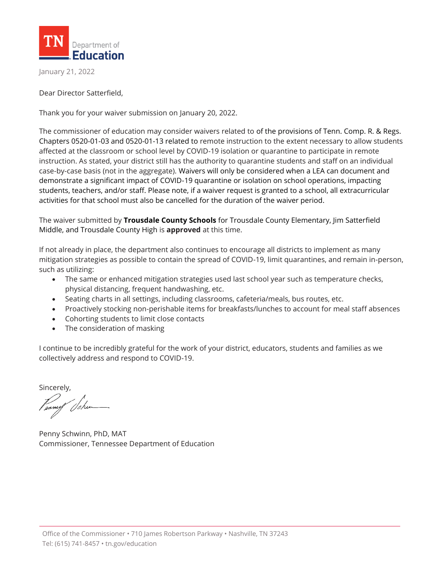

January 21, 2022

Dear Director Satterfield,

Thank you for your waiver submission on January 20, 2022.

The commissioner of education may consider waivers related to of the provisions of Tenn. Comp. R. & Regs. Chapters 0520-01-03 and 0520-01-13 related to remote instruction to the extent necessary to allow students affected at the classroom or school level by COVID-19 isolation or quarantine to participate in remote instruction. As stated, your district still has the authority to quarantine students and staff on an individual case-by-case basis (not in the aggregate). Waivers will only be considered when a LEA can document and demonstrate a significant impact of COVID-19 quarantine or isolation on school operations, impacting students, teachers, and/or staff. Please note, if a waiver request is granted to a school, all extracurricular activities for that school must also be cancelled for the duration of the waiver period.

The waiver submitted by **Trousdale County Schools** for Trousdale County Elementary, Jim Satterfield Middle, and Trousdale County High is **approved** at this time.

If not already in place, the department also continues to encourage all districts to implement as many mitigation strategies as possible to contain the spread of COVID-19, limit quarantines, and remain in-person, such as utilizing:

- The same or enhanced mitigation strategies used last school year such as temperature checks, physical distancing, frequent handwashing, etc.
- Seating charts in all settings, including classrooms, cafeteria/meals, bus routes, etc.
- Proactively stocking non-perishable items for breakfasts/lunches to account for meal staff absences
- Cohorting students to limit close contacts
- The consideration of masking

I continue to be incredibly grateful for the work of your district, educators, students and families as we collectively address and respond to COVID-19.

Sincerely,

Penny Schwinn, PhD, MAT Commissioner, Tennessee Department of Education